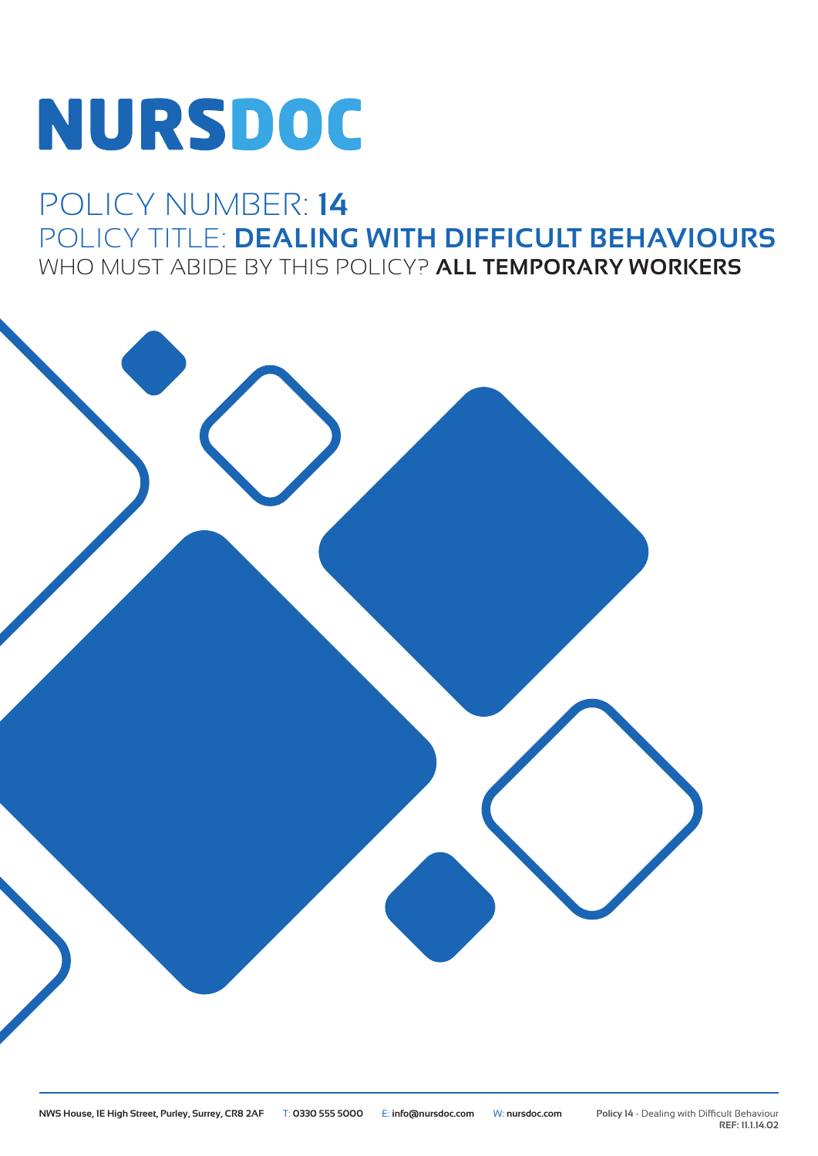# **NURSDOC**

## POLICY NUMBER: **14** POLICY TITLE: **DEALING WITH DIFFICULT BEHAVIOURS** WHO MUST ABIDE BY THIS POLICY? **ALL TEMPORARY WORKERS**